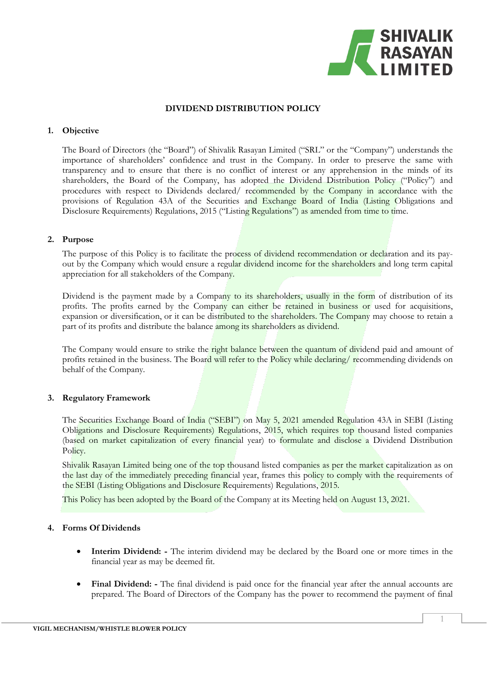

#### **DIVIDEND DISTRIBUTION POLICY**

### **1. Objective**

The Board of Directors (the "Board") of Shivalik Rasayan Limited ("SRL" or the "Company") understands the importance of shareholders' confidence and trust in the Company. In order to preserve the same with transparency and to ensure that there is no conflict of interest or any apprehension in the minds of its shareholders, the Board of the Company, has adopted the Dividend Distribution Policy ("Policy") and procedures with respect to Dividends declared/ recommended by the Company in accordance with the provisions of Regulation 43A of the Securities and Exchange Board of India (Listing Obligations and Disclosure Requirements) Regulations, 2015 ("Listing Regulations") as amended from time to time.

### **2. Purpose**

The purpose of this Policy is to facilitate the process of dividend recommendation or declaration and its payout by the Company which would ensure a regular dividend income for the shareholders and long term capital appreciation for all stakeholders of the Company.

Dividend is the payment made by a Company to its shareholders, usually in the form of distribution of its profits. The profits earned by the Company can either be retained in business or used for acquisitions, expansion or diversification, or it can be distributed to the shareholders. The Company may choose to retain a part of its profits and distribute the balance among its shareholders as dividend.

The Company would ensure to strike the right balance between the quantum of dividend paid and amount of profits retained in the business. The Board will refer to the Policy while declaring/ recommending dividends on behalf of the Company.

#### **3. Regulatory Framework**

The Securities Exchange Board of India ("SEBI") on May 5, 2021 amended Regulation 43A in SEBI (Listing Obligations and Disclosure Requirements) Regulations, 2015, which requires top thousand listed companies (based on market capitalization of every financial year) to formulate and disclose a Dividend Distribution Policy.

Shivalik Rasayan Limited being one of the top thousand listed companies as per the market capitalization as on the last day of the immediately preceding financial year, frames this policy to comply with the requirements of the SEBI (Listing Obligations and Disclosure Requirements) Regulations, 2015.

This Policy has been adopted by the Board of the Company at its Meeting held on August 13, 2021.

#### **4. Forms Of Dividends**

- **Interim Dividend: -** The interim dividend may be declared by the Board one or more times in the financial year as may be deemed fit.
- **Final Dividend: -** The final dividend is paid once for the financial year after the annual accounts are prepared. The Board of Directors of the Company has the power to recommend the payment of final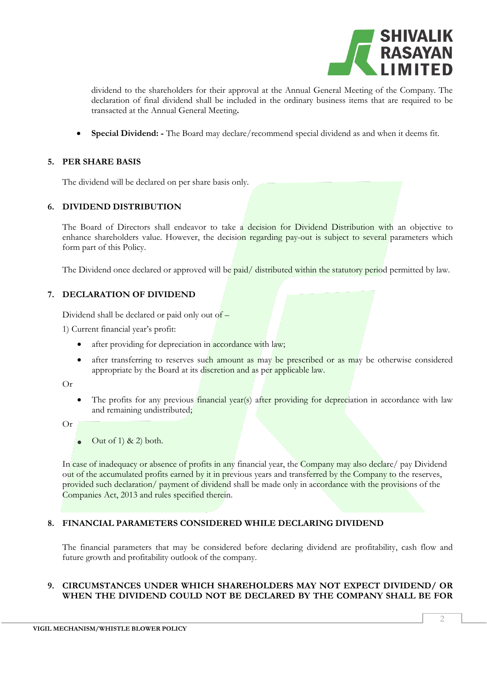

dividend to the shareholders for their approval at the Annual General Meeting of the Company. The declaration of final dividend shall be included in the ordinary business items that are required to be transacted at the Annual General Meeting**.**

• **Special Dividend: -** The Board may declare/recommend special dividend as and when it deems fit.

## **5. PER SHARE BASIS**

The dividend will be declared on per share basis only.

## **6. DIVIDEND DISTRIBUTION**

The Board of Directors shall endeavor to take a decision for Dividend Distribution with an objective to enhance shareholders value. However, the decision regarding pay-out is subject to several parameters which form part of this Policy.

The Dividend once declared or approved will be paid/ distributed within the statutory period permitted by law.

# **7. DECLARATION OF DIVIDEND**

Dividend shall be declared or paid only out of  $-$ 

1) Current financial year's profit:

- after providing for depreciation in accordance with law;
- after transferring to reserves such amount as may be prescribed or as may be otherwise considered appropriate by the Board at its discretion and as per applicable law.

Or

- The profits for any previous financial year(s) after providing for depreciation in accordance with law and remaining undistributed;
- Or
- Out of 1)  $\&$  2) both.

In case of inadequacy or absence of profits in any financial year, the Company may also declare/ pay Dividend out of the accumulated profits earned by it in previous years and transferred by the Company to the reserves, provided such declaration/ payment of dividend shall be made only in accordance with the provisions of the Companies Act, 2013 and rules specified therein.

# **8. FINANCIAL PARAMETERS CONSIDERED WHILE DECLARING DIVIDEND**

The financial parameters that may be considered before declaring dividend are profitability, cash flow and future growth and profitability outlook of the company.

# **9. CIRCUMSTANCES UNDER WHICH SHAREHOLDERS MAY NOT EXPECT DIVIDEND/ OR WHEN THE DIVIDEND COULD NOT BE DECLARED BY THE COMPANY SHALL BE FOR**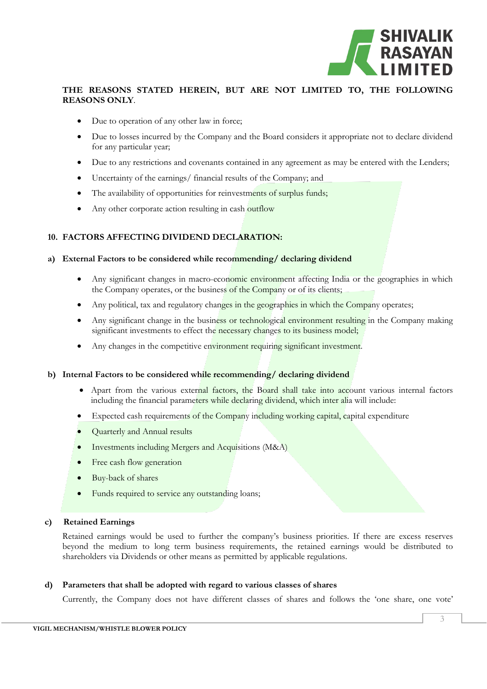

## **THE REASONS STATED HEREIN, BUT ARE NOT LIMITED TO, THE FOLLOWING REASONS ONLY**.

- Due to operation of any other law in force;
- Due to losses incurred by the Company and the Board considers it appropriate not to declare dividend for any particular year;
- Due to any restrictions and covenants contained in any agreement as may be entered with the Lenders;
- Uncertainty of the earnings/ financial results of the Company; and
- The availability of opportunities for reinvestments of surplus funds;
- Any other corporate action resulting in cash outflow

# **10. FACTORS AFFECTING DIVIDEND DECLARATION:**

### **a) External Factors to be considered while recommending/ declaring dividend**

- Any significant changes in macro-economic environment affecting India or the geographies in which the Company operates, or the business of the Company or of its clients;
- Any political, tax and regulatory changes in the geographies in which the Company operates;
- Any significant change in the business or technological environment resulting in the Company making significant investments to effect the necessary changes to its business model;
- Any changes in the competitive environment requiring significant investment.

#### **b) Internal Factors to be considered while recommending/ declaring dividend**

- Apart from the various external factors, the Board shall take into account various internal factors including the financial parameters while declaring dividend, which inter alia will include:
- Expected cash requirements of the Company including working capital, capital expenditure
- Quarterly and Annual results
- Investments including Mergers and Acquisitions (M&A)
- Free cash flow generation
- Buy-back of shares
- Funds required to service any outstanding loans;

#### **c) Retained Earnings**

Retained earnings would be used to further the company's business priorities. If there are excess reserves beyond the medium to long term business requirements, the retained earnings would be distributed to shareholders via Dividends or other means as permitted by applicable regulations.

#### **d) Parameters that shall be adopted with regard to various classes of shares**

Currently, the Company does not have different classes of shares and follows the 'one share, one vote'